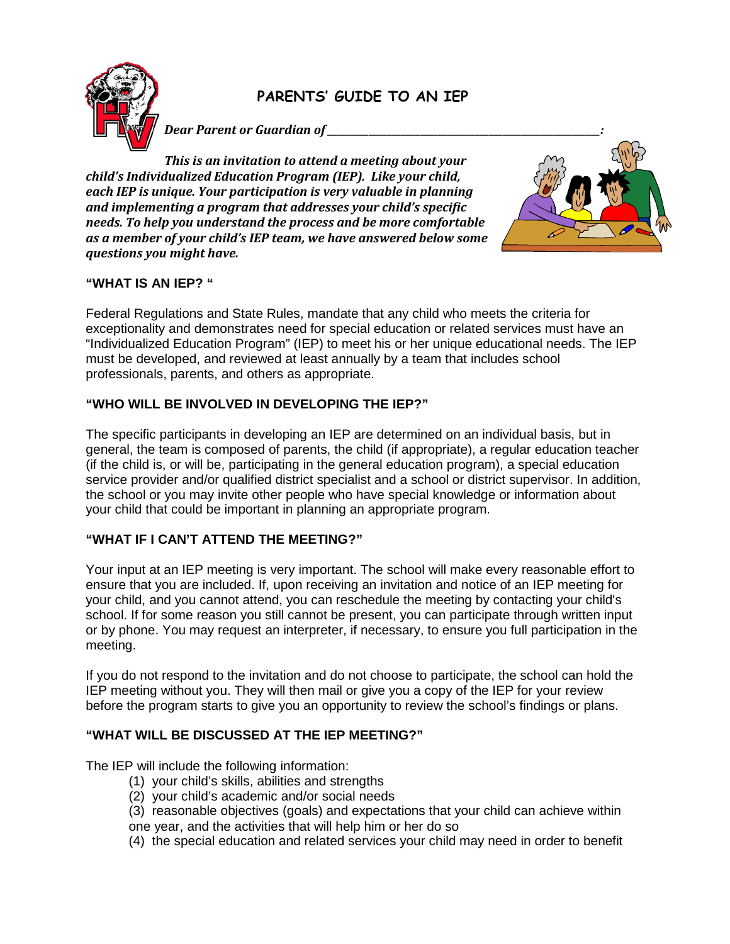

# **PARENTS' GUIDE TO AN IEP**

*Dear Parent or Guardian of \_\_\_\_\_\_\_\_\_\_\_\_\_\_\_\_\_\_\_\_\_\_\_\_\_\_\_\_\_\_\_\_\_\_\_\_\_\_\_\_\_\_\_\_\_\_\_\_\_\_\_\_\_\_\_\_\_\_\_:*

*This is an invitation to attend a meeting about your child's Individualized Education Program (IEP). Like your child, each IEP is unique. Your participation is very valuable in planning and implementing a program that addresses your child's specific needs. To help you understand the process and be more comfortable as a member of your child's IEP team, we have answered below some questions you might have.* 



## **"WHAT IS AN IEP? "**

Federal Regulations and State Rules, mandate that any child who meets the criteria for exceptionality and demonstrates need for special education or related services must have an "Individualized Education Program" (IEP) to meet his or her unique educational needs. The IEP must be developed, and reviewed at least annually by a team that includes school professionals, parents, and others as appropriate.

## **"WHO WILL BE INVOLVED IN DEVELOPING THE IEP?"**

The specific participants in developing an IEP are determined on an individual basis, but in general, the team is composed of parents, the child (if appropriate), a regular education teacher (if the child is, or will be, participating in the general education program), a special education service provider and/or qualified district specialist and a school or district supervisor. In addition, the school or you may invite other people who have special knowledge or information about your child that could be important in planning an appropriate program.

### **"WHAT IF I CAN'T ATTEND THE MEETING?"**

Your input at an IEP meeting is very important. The school will make every reasonable effort to ensure that you are included. If, upon receiving an invitation and notice of an IEP meeting for your child, and you cannot attend, you can reschedule the meeting by contacting your child's school. If for some reason you still cannot be present, you can participate through written input or by phone. You may request an interpreter, if necessary, to ensure you full participation in the meeting.

If you do not respond to the invitation and do not choose to participate, the school can hold the IEP meeting without you. They will then mail or give you a copy of the IEP for your review before the program starts to give you an opportunity to review the school's findings or plans.

### **"WHAT WILL BE DISCUSSED AT THE IEP MEETING?"**

The IEP will include the following information:

- (1) your child's skills, abilities and strengths
- (2) your child's academic and/or social needs
- (3) reasonable objectives (goals) and expectations that your child can achieve within
- one year, and the activities that will help him or her do so
- (4) the special education and related services your child may need in order to benefit